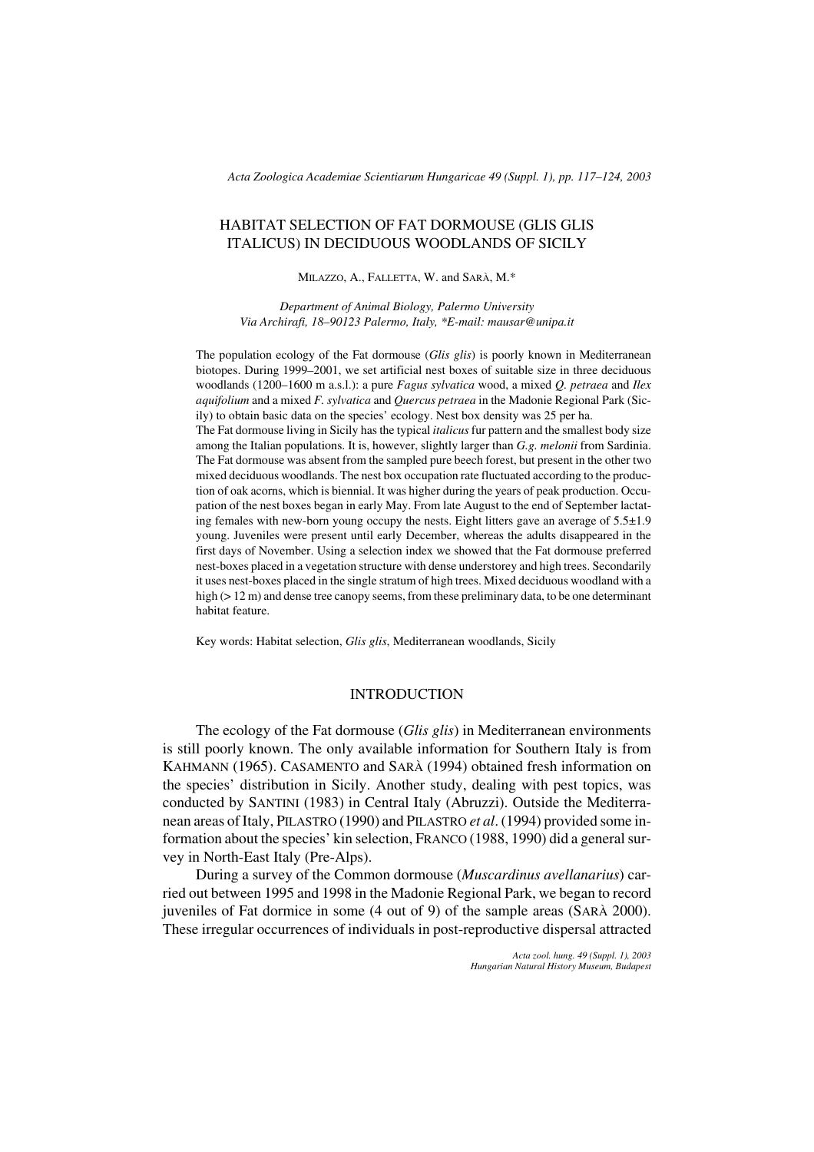*Acta Zoologica Academiae Scientiarum Hungaricae 49 (Suppl. 1), pp. 117–124, 2003*

# HABITAT SELECTION OF FAT DORMOUSE (GLIS GLIS ITALICUS) IN DECIDUOUS WOODLANDS OF SICILY

MILAZZO, A., FALLETTA, W. and SARÀ, M.\*

*Department of Animal Biology, Palermo University Via Archirafi, 18–90123 Palermo, Italy, \*E-mail: mausar@unipa.it*

The population ecology of the Fat dormouse (*Glis glis*) is poorly known in Mediterranean biotopes. During 1999–2001, we set artificial nest boxes of suitable size in three deciduous woodlands (1200–1600 m a.s.l.): a pure *Fagus sylvatica* wood, a mixed *Q. petraea* and *Ilex aquifolium* and a mixed *F. sylvatica* and *Quercus petraea* in the Madonie Regional Park (Sicily) to obtain basic data on the species' ecology. Nest box density was 25 per ha. The Fat dormouse living in Sicily has the typical *italicus* fur pattern and the smallest body size among the Italian populations. It is, however, slightly larger than *G.g. melonii* from Sardinia. The Fat dormouse was absent from the sampled pure beech forest, but present in the other two mixed deciduous woodlands. The nest box occupation rate fluctuated according to the production of oak acorns, which is biennial. It was higher during the years of peak production. Occupation of the nest boxes began in early May. From late August to the end of September lactating females with new-born young occupy the nests. Eight litters gave an average of  $5.5\pm1.9$ young. Juveniles were present until early December, whereas the adults disappeared in the first days of November. Using a selection index we showed that the Fat dormouse preferred nest-boxes placed in a vegetation structure with dense understorey and high trees. Secondarily it uses nest-boxes placed in the single stratum of high trees. Mixed deciduous woodland with a high ( $> 12$  m) and dense tree canopy seems, from these preliminary data, to be one determinant habitat feature.

Key words: Habitat selection, *Glis glis*, Mediterranean woodlands, Sicily

### INTRODUCTION

The ecology of the Fat dormouse (*Glis glis*) in Mediterranean environments is still poorly known. The only available information for Southern Italy is from KAHMANN (1965). CASAMENTO and SARÀ (1994) obtained fresh information on the species' distribution in Sicily. Another study, dealing with pest topics, was conducted by SANTINI (1983) in Central Italy (Abruzzi). Outside the Mediterranean areas of Italy, PILASTRO (1990) and PILASTRO *et al*. (1994) provided some information about the species' kin selection, FRANCO (1988, 1990) did a general survey in North-East Italy (Pre-Alps).

During a survey of the Common dormouse (*Muscardinus avellanarius*) carried out between 1995 and 1998 in the Madonie Regional Park, we began to record juveniles of Fat dormice in some (4 out of 9) of the sample areas (SARÀ 2000). These irregular occurrences of individuals in post-reproductive dispersal attracted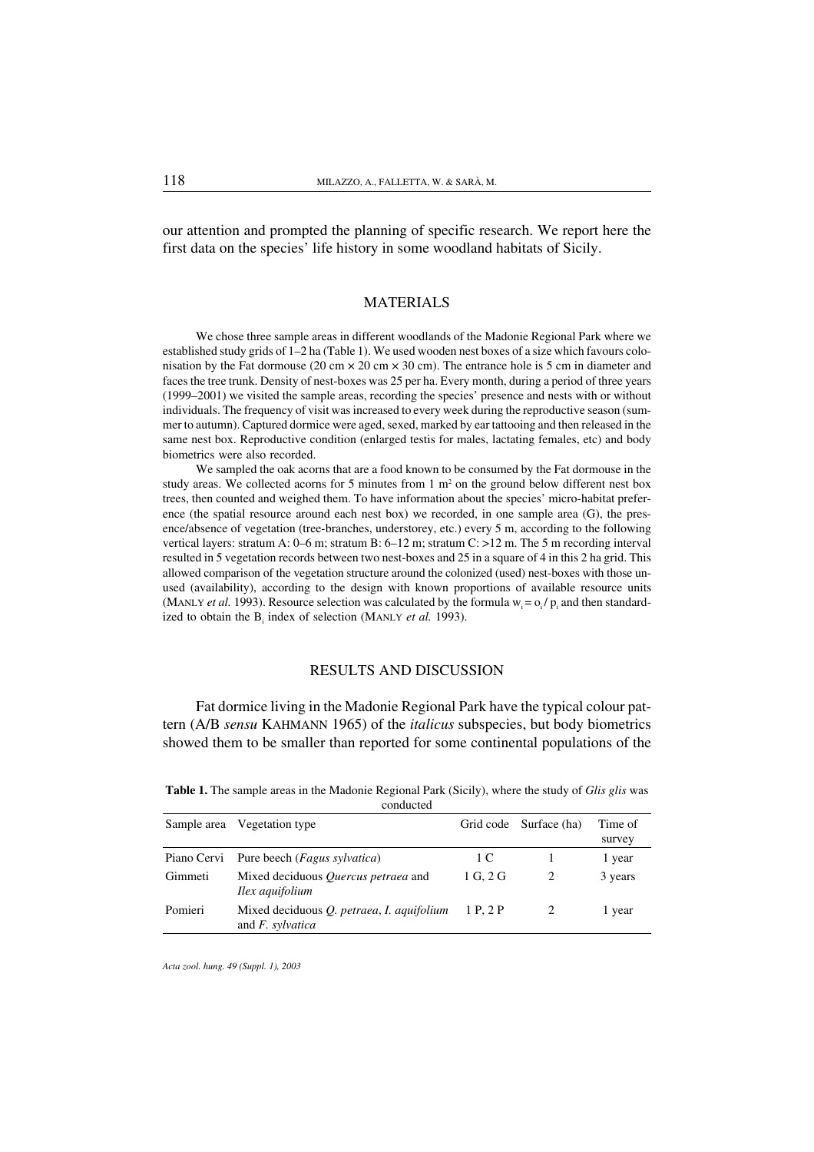our attention and prompted the planning of specific research. We report here the first data on the species' life history in some woodland habitats of Sicily.

#### MATERIALS

We chose three sample areas in different woodlands of the Madonie Regional Park where we established study grids of 1–2 ha (Table 1). We used wooden nest boxes of a size which favours colonisation by the Fat dormouse (20 cm  $\times$  20 cm  $\times$  30 cm). The entrance hole is 5 cm in diameter and faces the tree trunk. Density of nest-boxes was 25 per ha. Every month, during a period of three years (1999–2001) we visited the sample areas, recording the species' presence and nests with or without individuals. The frequency of visit was increased to every week during the reproductive season (summer to autumn). Captured dormice were aged, sexed, marked by ear tattooing and then released in the same nest box. Reproductive condition (enlarged testis for males, lactating females, etc) and body biometrics were also recorded.

We sampled the oak acorns that are a food known to be consumed by the Fat dormouse in the study areas. We collected acorns for 5 minutes from  $1 \text{ m}^2$  on the ground below different nest box trees, then counted and weighed them. To have information about the species' micro-habitat preference (the spatial resource around each nest box) we recorded, in one sample area (G), the presence/absence of vegetation (tree-branches, understorey, etc.) every 5 m, according to the following vertical layers: stratum A: 0–6 m; stratum B: 6–12 m; stratum C: >12 m. The 5 m recording interval resulted in 5 vegetation records between two nest-boxes and 25 in a square of 4 in this 2 ha grid. This allowed comparison of the vegetation structure around the colonized (used) nest-boxes with those unused (availability), according to the design with known proportions of available resource units (MANLY *et al.* 1993). Resource selection was calculated by the formula  $w_i = o_i / p_i$  and then standardized to obtain the B<sub>i</sub> index of selection (MANLY *et al.* 1993).

## RESULTS AND DISCUSSION

Fat dormice living in the Madonie Regional Park have the typical colour pattern (A/B *sensu* KAHMANN 1965) of the *italicus* subspecies, but body biometrics showed them to be smaller than reported for some continental populations of the

|         | conducted                                                               |          |                        |                   |
|---------|-------------------------------------------------------------------------|----------|------------------------|-------------------|
|         | Sample area Vegetation type                                             |          | Grid code Surface (ha) | Time of<br>survey |
|         | Piano Cervi Pure beech (Fagus sylvatica)                                | 1 C      |                        | 1 year            |
| Gimmeti | Mixed deciduous <i>Ouercus petraea</i> and<br><i>Ilex aquifolium</i>    | 1 G. 2 G |                        | 3 years           |
| Pomieri | Mixed deciduous <i>Q. petraea, I. aquifolium</i><br>and $F$ , sylvatica | 1 P. 2 P |                        | l year            |

Table 1. The sample areas in the Madonie Regional Park (Sicily), where the study of *Glis glis* was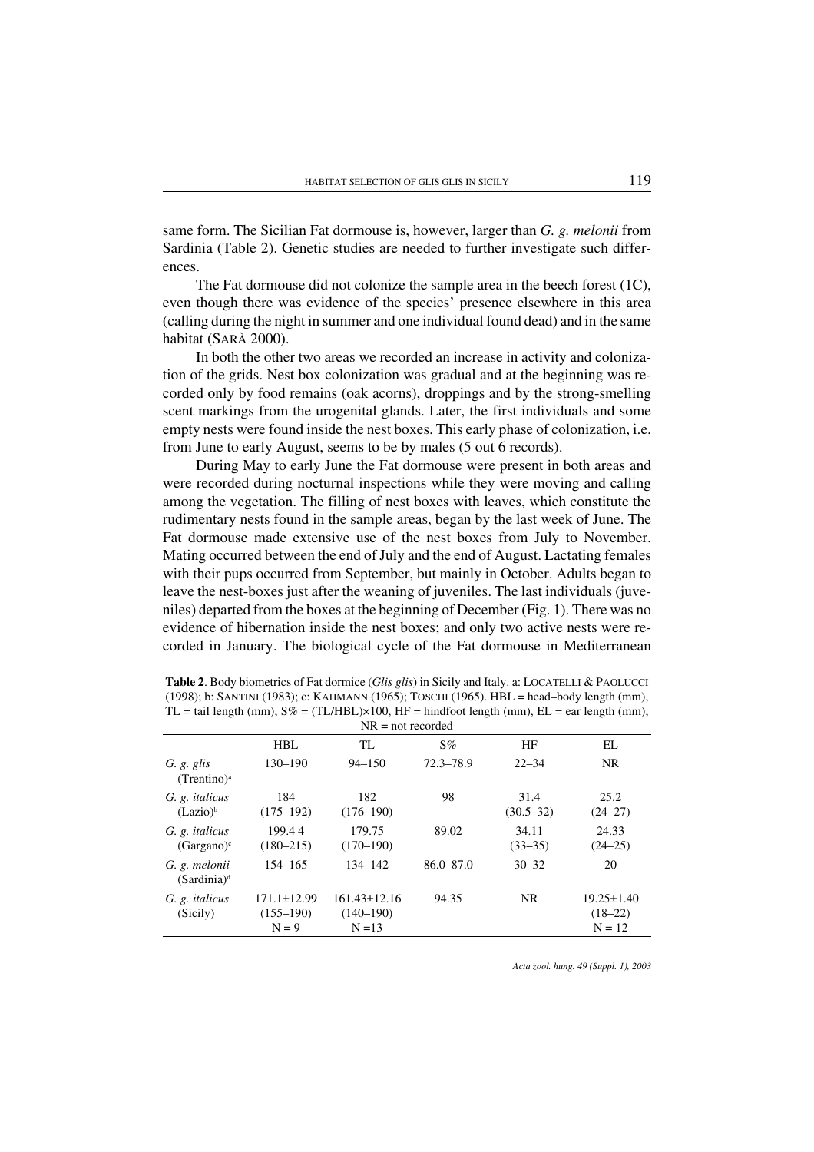same form. The Sicilian Fat dormouse is, however, larger than *G. g. melonii* from Sardinia (Table 2). Genetic studies are needed to further investigate such differences.

The Fat dormouse did not colonize the sample area in the beech forest (1C), even though there was evidence of the species' presence elsewhere in this area (calling during the night in summer and one individual found dead) and in the same habitat (SARÀ 2000).

In both the other two areas we recorded an increase in activity and colonization of the grids. Nest box colonization was gradual and at the beginning was recorded only by food remains (oak acorns), droppings and by the strong-smelling scent markings from the urogenital glands. Later, the first individuals and some empty nests were found inside the nest boxes. This early phase of colonization, i.e. from June to early August, seems to be by males (5 out 6 records).

During May to early June the Fat dormouse were present in both areas and were recorded during nocturnal inspections while they were moving and calling among the vegetation. The filling of nest boxes with leaves, which constitute the rudimentary nests found in the sample areas, began by the last week of June. The Fat dormouse made extensive use of the nest boxes from July to November. Mating occurred between the end of July and the end of August. Lactating females with their pups occurred from September, but mainly in October. Adults began to leave the nest-boxes just after the weaning of juveniles. The last individuals (juveniles) departed from the boxes at the beginning of December (Fig. 1). There was no evidence of hibernation inside the nest boxes; and only two active nests were recorded in January. The biological cycle of the Fat dormouse in Mediterranean

|                                        |                                               | $111 = 100110001000$                            |               |                       |                                           |
|----------------------------------------|-----------------------------------------------|-------------------------------------------------|---------------|-----------------------|-------------------------------------------|
|                                        | HBL                                           | TL.                                             | $S\%$         | HF                    | EL.                                       |
| G. g. glis<br>$(Trentino)^a$           | $130 - 190$                                   | $94 - 150$                                      | 72.3–78.9     | $22 - 34$             | NR.                                       |
| G. g. <i>italicus</i><br>$(Lazio)^b$   | 184<br>$(175 - 192)$                          | 182<br>$(176 - 190)$                            | 98            | 31.4<br>$(30.5 - 32)$ | 25.2<br>$(24 - 27)$                       |
| G. g. <i>italicus</i><br>$(Gargano)^c$ | 199.44<br>$(180 - 215)$                       | 179.75<br>$(170 - 190)$                         | 89.02         | 34.11<br>$(33-35)$    | 24.33<br>$(24-25)$                        |
| G. g. melonii<br>$(Sardinia)^d$        | 154–165                                       | 134-142                                         | $86.0 - 87.0$ | $30 - 32$             | 20                                        |
| G. g. <i>italicus</i><br>(Sicily)      | $171.1 \pm 12.99$<br>$(155 - 190)$<br>$N = 9$ | $161.43 \pm 12.16$<br>$(140 - 190)$<br>$N = 13$ | 94.35         | <b>NR</b>             | $19.25 \pm 1.40$<br>$(18-22)$<br>$N = 12$ |

| <b>Table 2.</b> Body biometrics of Fat dormice ( <i>Glis glis</i> ) in Sicily and Italy. a: LOCATELLI & PAOLUCCI |
|------------------------------------------------------------------------------------------------------------------|
| $(1998)$ ; b: SANTINI (1983); c: KAHMANN (1965); TOSCHI (1965). HBL = head-body length (mm),                     |
| $TL = tail$ length (mm), $S\% = (TL/HBL) \times 100$ , $HF = hindfoot$ length (mm), $EL = ear$ length (mm),      |
| $NP - not recorded$                                                                                              |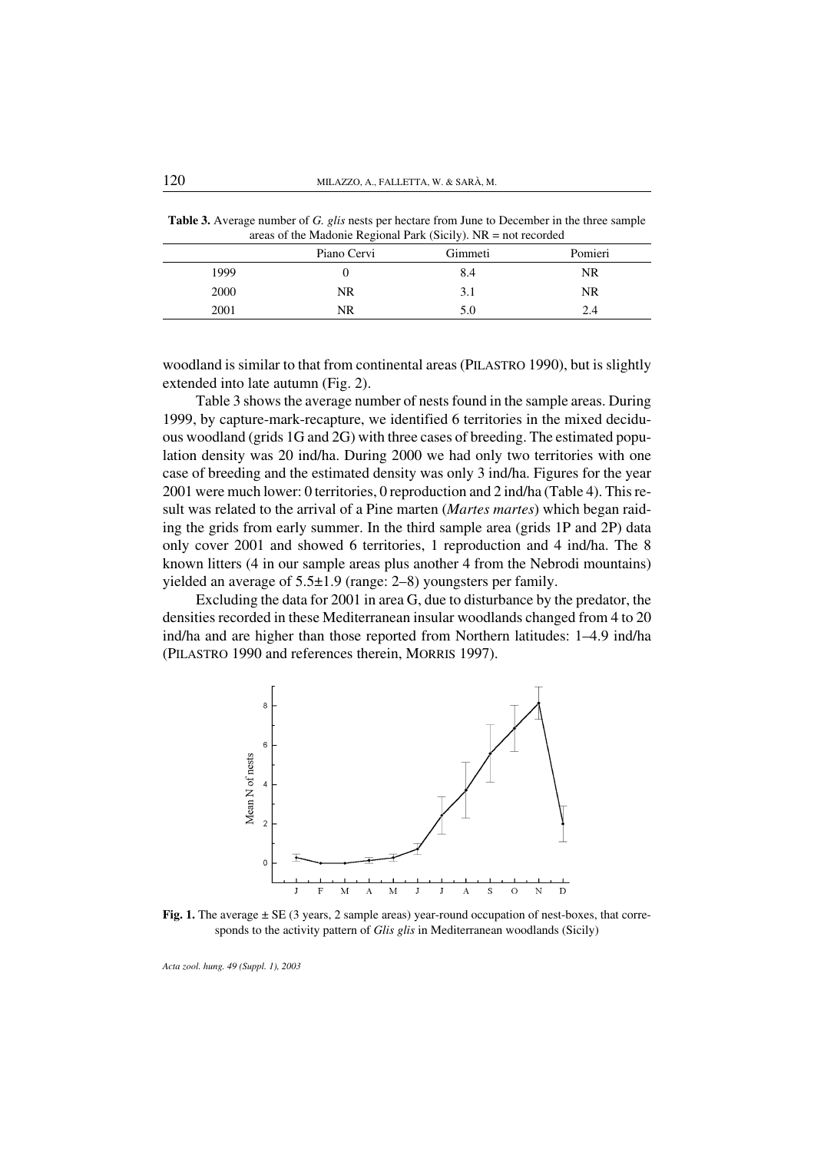Table 3. Average number of *G. glis* nests per hectare from June to December in the three sample areas of the Madonie Regional Park (Sicily). NR = not recorded

|      | ັ           | $\overline{\phantom{a}}$ |         |
|------|-------------|--------------------------|---------|
|      | Piano Cervi | Gimmeti                  | Pomieri |
| 1999 |             | 8.4                      | NR      |
| 2000 | NR          | 3.1                      | NR      |
| 2001 | NR          | 5.0                      | 2.4     |
|      |             |                          |         |

woodland is similar to that from continental areas (PILASTRO 1990), but is slightly extended into late autumn (Fig. 2).

Table 3 shows the average number of nests found in the sample areas. During 1999, by capture-mark-recapture, we identified 6 territories in the mixed deciduous woodland (grids 1G and 2G) with three cases of breeding. The estimated population density was 20 ind/ha. During 2000 we had only two territories with one case of breeding and the estimated density was only 3 ind/ha. Figures for the year 2001 were much lower: 0 territories, 0 reproduction and 2 ind/ha (Table 4). This result was related to the arrival of a Pine marten (*Martes martes*) which began raiding the grids from early summer. In the third sample area (grids 1P and 2P) data only cover 2001 and showed 6 territories, 1 reproduction and 4 ind/ha. The 8 known litters (4 in our sample areas plus another 4 from the Nebrodi mountains) yielded an average of 5.5±1.9 (range: 2–8) youngsters per family.

Excluding the data for 2001 in area G, due to disturbance by the predator, the densities recorded in these Mediterranean insular woodlands changed from 4 to 20 ind/ha and are higher than those reported from Northern latitudes: 1–4.9 ind/ha (PILASTRO 1990 and references therein, MORRIS 1997).



Fig. 1. The average  $\pm$  SE (3 years, 2 sample areas) year-round occupation of nest-boxes, that corresponds to the activity pattern of *Glis glis* in Mediterranean woodlands (Sicily)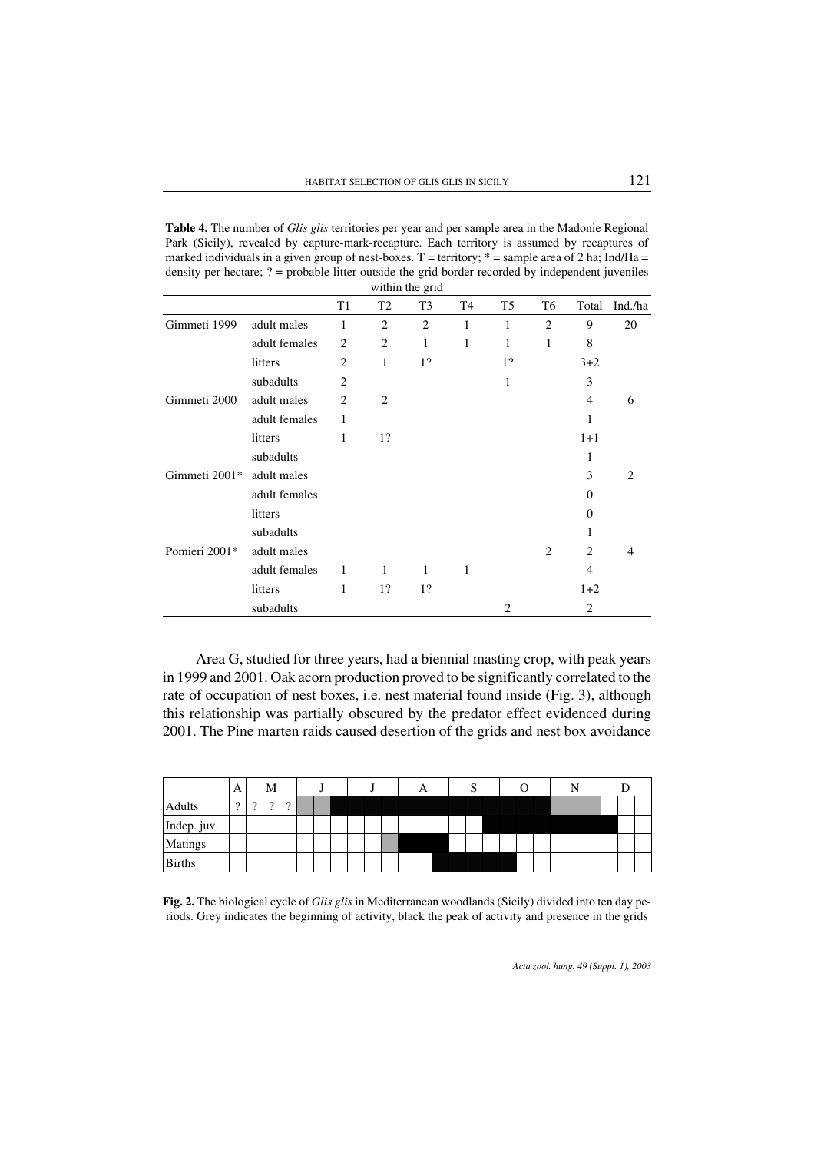Table 4. The number of *Glis glis* territories per year and per sample area in the Madonie Regional Park (Sicily), revealed by capture-mark-recapture. Each territory is assumed by recaptures of marked individuals in a given group of nest-boxes. T = territory;  $*$  = sample area of 2 ha; Ind/Ha = density per hectare; ? = probable litter outside the grid border recorded by independent juveniles within the grid

|               |               | T <sub>1</sub> | T <sub>2</sub> | T <sub>3</sub> | T <sub>4</sub> | T <sub>5</sub> | T6             | Total          | Ind./ha        |
|---------------|---------------|----------------|----------------|----------------|----------------|----------------|----------------|----------------|----------------|
| Gimmeti 1999  | adult males   | 1              | $\overline{2}$ | $\overline{2}$ | 1              | 1              | $\overline{2}$ | 9              | 20             |
|               | adult females | 2              | $\overline{c}$ | 1              | 1              | 1              | 1              | 8              |                |
|               | litters       | 2              | 1              | 1?             |                | 1?             |                | $3+2$          |                |
|               | subadults     | $\overline{2}$ |                |                |                | 1              |                | 3              |                |
| Gimmeti 2000  | adult males   | 2              | $\overline{2}$ |                |                |                |                | $\overline{4}$ | 6              |
|               | adult females | 1              |                |                |                |                |                | 1              |                |
|               | litters       | 1              | 1?             |                |                |                |                | $1+1$          |                |
|               | subadults     |                |                |                |                |                |                | 1              |                |
| Gimmeti 2001* | adult males   |                |                |                |                |                |                | 3              | $\overline{c}$ |
|               | adult females |                |                |                |                |                |                | $\Omega$       |                |
|               | litters       |                |                |                |                |                |                | $\Omega$       |                |
|               | subadults     |                |                |                |                |                |                | 1              |                |
| Pomieri 2001* | adult males   |                |                |                |                |                | 2              | $\overline{c}$ | 4              |
|               | adult females | $\mathbf{1}$   | $\mathbf{1}$   | $\mathbf{1}$   | 1              |                |                | $\overline{4}$ |                |
|               | litters       | 1              | 1?             | 1?             |                |                |                | $1+2$          |                |
|               | subadults     |                |                |                |                | $\overline{2}$ |                | 2              |                |

Area G, studied for three years, had a biennial masting crop, with peak years in 1999 and 2001. Oak acorn production proved to be significantly correlated to the rate of occupation of nest boxes, i.e. nest material found inside (Fig. 3), although this relationship was partially obscured by the predator effect evidenced during 2001. The Pine marten raids caused desertion of the grids and nest box avoidance

|               | A        |          | М        |                     |  |  |  | A |  |  |  |  |  |  |  |
|---------------|----------|----------|----------|---------------------|--|--|--|---|--|--|--|--|--|--|--|
| Adults        | $\Omega$ | $\Omega$ | $\Omega$ | $\Omega$<br>$\cdot$ |  |  |  |   |  |  |  |  |  |  |  |
| Indep. juv.   |          |          |          |                     |  |  |  |   |  |  |  |  |  |  |  |
| Matings       |          |          |          |                     |  |  |  |   |  |  |  |  |  |  |  |
| <b>Births</b> |          |          |          |                     |  |  |  |   |  |  |  |  |  |  |  |

Fig. 2. The biological cycle of *Glis glis* in Mediterranean woodlands (Sicily) divided into ten day periods. Grey indicates the beginning of activity, black the peak of activity and presence in the grids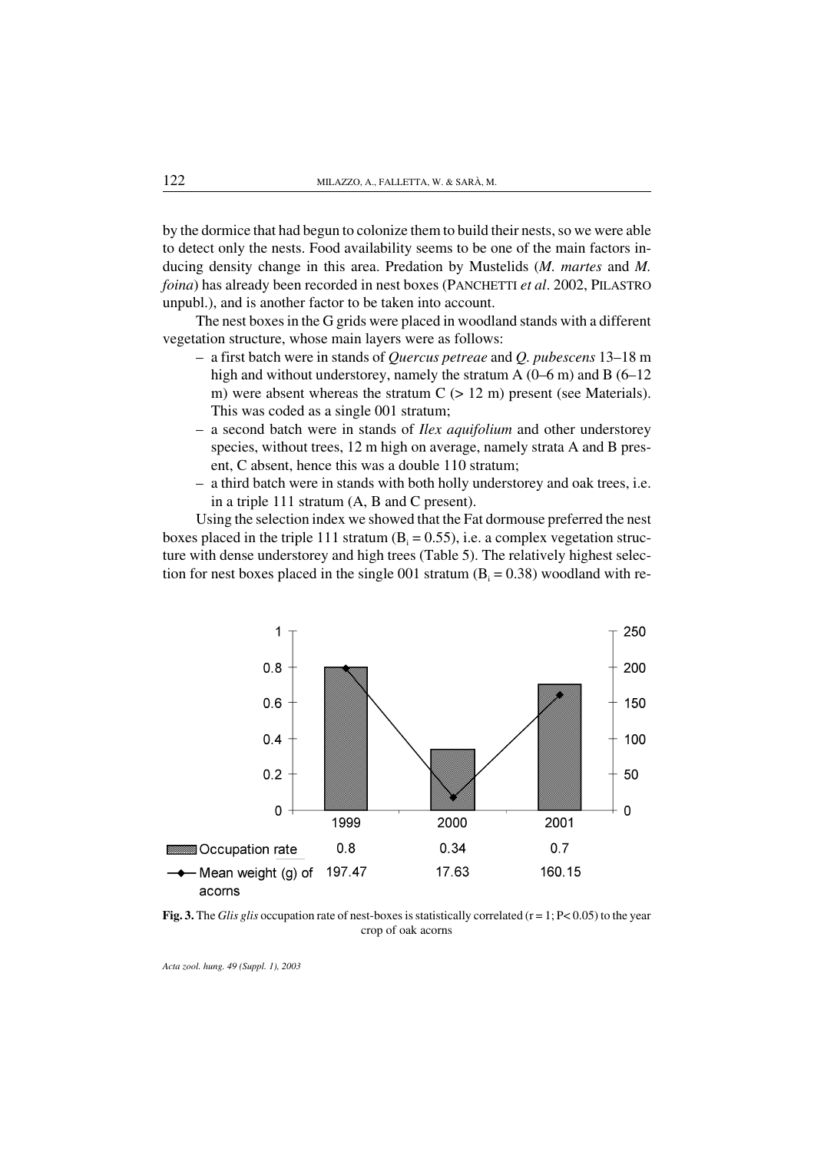by the dormice that had begun to colonize them to build their nests, so we were able to detect only the nests. Food availability seems to be one of the main factors inducing density change in this area. Predation by Mustelids (*M. martes* and *M. foina*) has already been recorded in nest boxes (PANCHETTI *et al*. 2002, PILASTRO unpubl.), and is another factor to be taken into account.

The nest boxes in the G grids were placed in woodland stands with a different vegetation structure, whose main layers were as follows:

- a first batch were in stands of *Quercus petreae* and *Q. pubescens* 13–18 m high and without understorey, namely the stratum A (0–6 m) and B (6–12 m) were absent whereas the stratum  $C$  ( $> 12$  m) present (see Materials). This was coded as a single 001 stratum;
- a second batch were in stands of *Ilex aquifolium* and other understorey species, without trees, 12 m high on average, namely strata A and B present, C absent, hence this was a double 110 stratum;
- a third batch were in stands with both holly understorey and oak trees, i.e. in a triple 111 stratum (A, B and C present).

Using the selection index we showed that the Fat dormouse preferred the nest boxes placed in the triple 111 stratum  $(B<sub>i</sub> = 0.55)$ , i.e. a complex vegetation structure with dense understorey and high trees (Table 5). The relatively highest selection for nest boxes placed in the single 001 stratum  $(B<sub>i</sub> = 0.38)$  woodland with re-



Fig. 3. The *Glis glis* occupation rate of nest-boxes is statistically correlated  $(r = 1; P < 0.05)$  to the year crop of oak acorns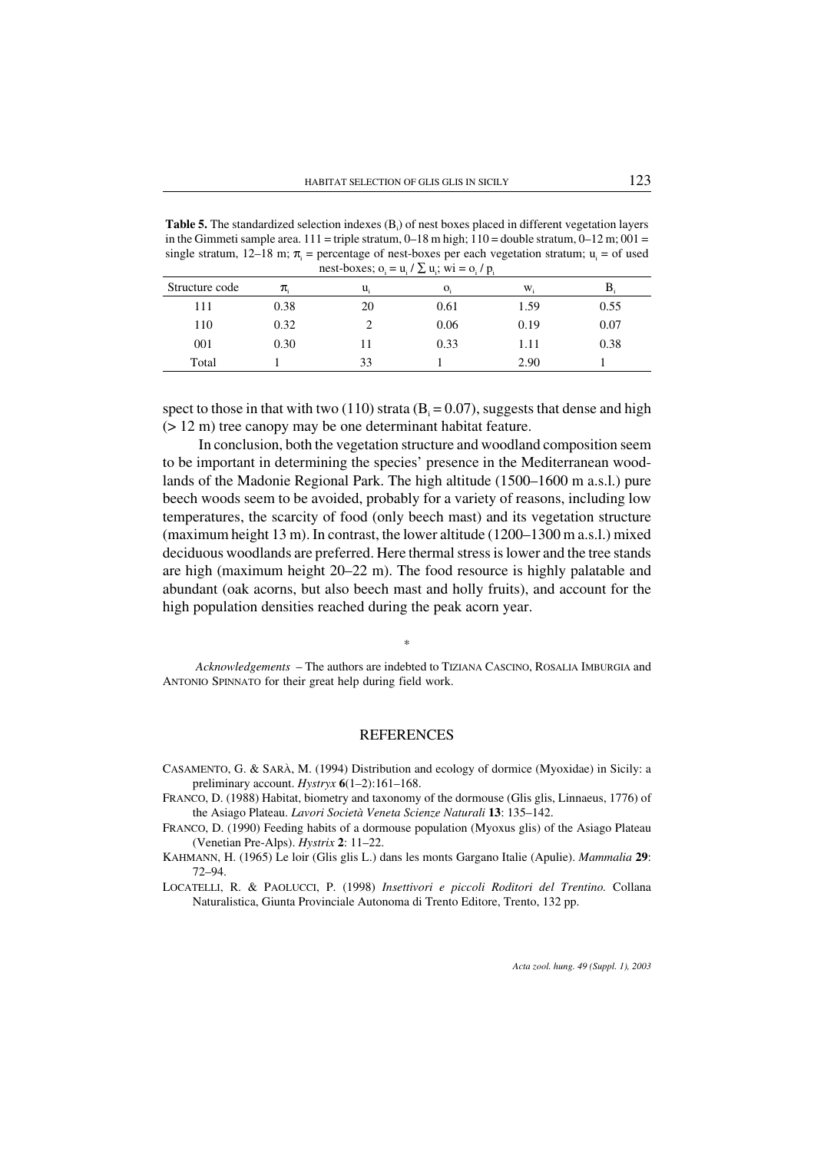Table 5. The standardized selection indexes (B<sub>i</sub>) of nest boxes placed in different vegetation layers in the Gimmeti sample area.  $111 =$  triple stratum, 0–18 m high;  $110 =$  double stratum, 0–12 m; 001 = single stratum, 12–18 m;  $\pi$ <sub>i</sub> = percentage of nest-boxes per each vegetation stratum; u<sub>i</sub> = of used nest-boxes;  $o_i = u_i / \sum u_i$ ; wi =  $o_i / p_i$ 

|                |      |    | $\mu_i$ , $\mu_i$ , $\mu_i$ , $\mu_i$ , $\mu_i$ , $\mu_i$ |      |      |
|----------------|------|----|-----------------------------------------------------------|------|------|
| Structure code | π.   | u. | Ω.                                                        | W.   |      |
| 111            | 0.38 | 20 | 0.61                                                      | 1.59 | 0.55 |
| 110            | 0.32 |    | 0.06                                                      | 0.19 | 0.07 |
| 001            | 0.30 |    | 0.33                                                      | 1.11 | 0.38 |
| Total          |      | 33 |                                                           | 2.90 |      |

spect to those in that with two (110) strata ( $B<sub>i</sub> = 0.07$ ), suggests that dense and high (> 12 m) tree canopy may be one determinant habitat feature.

In conclusion, both the vegetation structure and woodland composition seem to be important in determining the species' presence in the Mediterranean woodlands of the Madonie Regional Park. The high altitude (1500–1600 m a.s.l.) pure beech woods seem to be avoided, probably for a variety of reasons, including low temperatures, the scarcity of food (only beech mast) and its vegetation structure (maximum height 13 m). In contrast, the lower altitude (1200–1300 m a.s.l.) mixed deciduous woodlands are preferred. Here thermal stress is lower and the tree stands are high (maximum height 20–22 m). The food resource is highly palatable and abundant (oak acorns, but also beech mast and holly fruits), and account for the high population densities reached during the peak acorn year.

\*

*Acknowledgements* – The authors are indebted to TIZIANA CASCINO, ROSALIA IMBURGIA and ANTONIO SPINNATO for their great help during field work.

#### **REFERENCES**

- CASAMENTO, G. & SARÀ, M. (1994) Distribution and ecology of dormice (Myoxidae) in Sicily: a preliminary account. *Hystryx* 6(1–2):161–168.
- FRANCO, D. (1988) Habitat, biometry and taxonomy of the dormouse (Glis glis, Linnaeus, 1776) of the Asiago Plateau. *Lavori Società Veneta Scienze Naturali* 13: 135–142.
- FRANCO, D. (1990) Feeding habits of a dormouse population (Myoxus glis) of the Asiago Plateau (Venetian Pre-Alps). *Hystrix* 2: 11–22.
- KAHMANN, H. (1965) Le loir (Glis glis L.) dans les monts Gargano Italie (Apulie). *Mammalia* 29: 72–94.
- LOCATELLI, R. & PAOLUCCI, P. (1998) *Insettivori e piccoli Roditori del Trentino.* Collana Naturalistica, Giunta Provinciale Autonoma di Trento Editore, Trento, 132 pp.